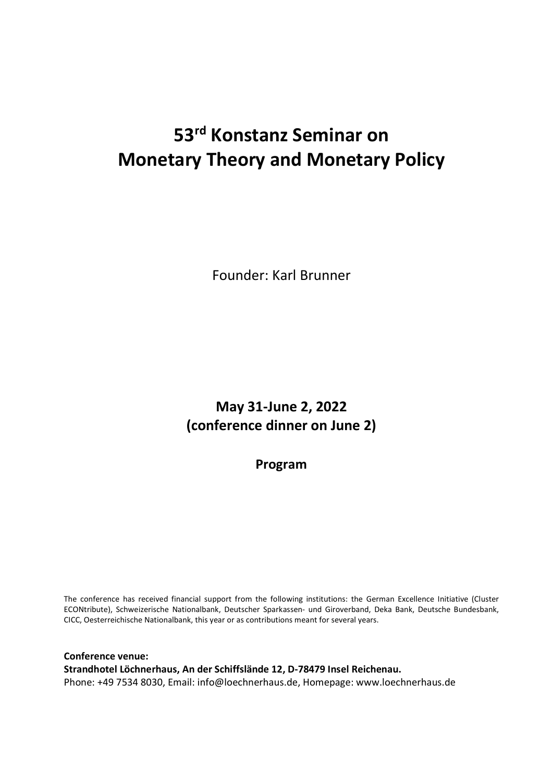## 53rd Konstanz Seminar on Monetary Theory and Monetary Policy

Founder: Karl Brunner

May 31-June 2, 2022 (conference dinner on June 2)

Program

The conference has received financial support from the following institutions: the German Excellence Initiative (Cluster ECONtribute), Schweizerische Nationalbank, Deutscher Sparkassen- und Giroverband, Deka Bank, Deutsche Bundesbank, CICC, Oesterreichische Nationalbank, this year or as contributions meant for several years.

Conference venue: Strandhotel Löchnerhaus, An der Schiffslände 12, D-78479 Insel Reichenau. Phone: +49 7534 8030, Email: info@loechnerhaus.de, Homepage: www.loechnerhaus.de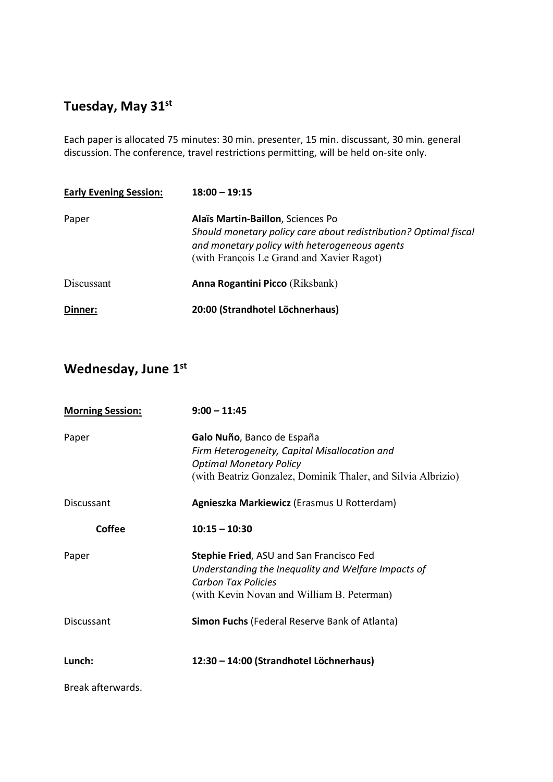## Tuesday, May 31<sup>st</sup>

Each paper is allocated 75 minutes: 30 min. presenter, 15 min. discussant, 30 min. general discussion. The conference, travel restrictions permitting, will be held on-site only.

| <b>Early Evening Session:</b> | $18:00 - 19:15$                                                                                                                                                                                     |
|-------------------------------|-----------------------------------------------------------------------------------------------------------------------------------------------------------------------------------------------------|
| Paper                         | Alaïs Martin-Baillon, Sciences Po<br>Should monetary policy care about redistribution? Optimal fiscal<br>and monetary policy with heterogeneous agents<br>(with François Le Grand and Xavier Ragot) |
| Discussant                    | <b>Anna Rogantini Picco</b> (Riksbank)                                                                                                                                                              |
| Dinner:                       | 20:00 (Strandhotel Löchnerhaus)                                                                                                                                                                     |

## Wednesday, June 1st

| <b>Morning Session:</b> | $9:00 - 11:45$                                                                                                                                                                |
|-------------------------|-------------------------------------------------------------------------------------------------------------------------------------------------------------------------------|
| Paper                   | Galo Nuño, Banco de España<br>Firm Heterogeneity, Capital Misallocation and<br><b>Optimal Monetary Policy</b><br>(with Beatriz Gonzalez, Dominik Thaler, and Silvia Albrizio) |
| <b>Discussant</b>       | Agnieszka Markiewicz (Erasmus U Rotterdam)                                                                                                                                    |
| <b>Coffee</b>           | $10:15 - 10:30$                                                                                                                                                               |
| Paper                   | <b>Stephie Fried, ASU and San Francisco Fed</b><br>Understanding the Inequality and Welfare Impacts of<br>Carbon Tax Policies<br>(with Kevin Novan and William B. Peterman)   |
| Discussant              | <b>Simon Fuchs</b> (Federal Reserve Bank of Atlanta)                                                                                                                          |
| Lunch:                  | 12:30 - 14:00 (Strandhotel Löchnerhaus)                                                                                                                                       |
| Break afterwards.       |                                                                                                                                                                               |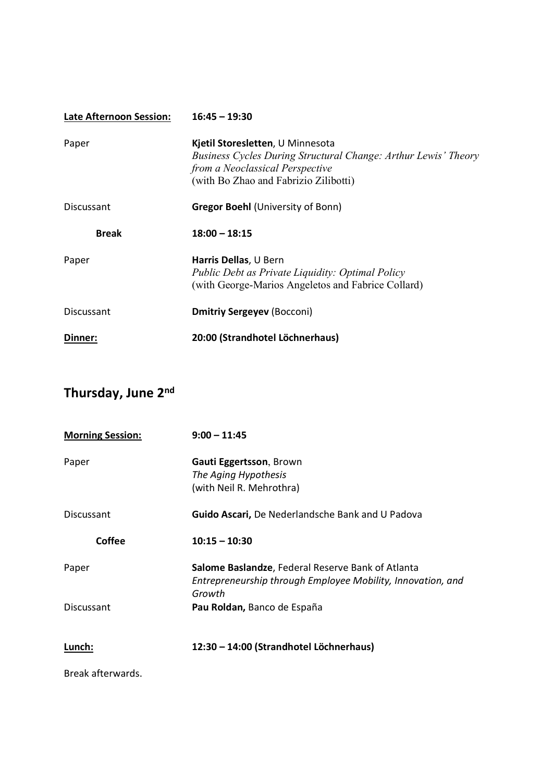| <b>Late Afternoon Session:</b> | $16:45 - 19:30$                                                                                                                                                                |
|--------------------------------|--------------------------------------------------------------------------------------------------------------------------------------------------------------------------------|
| Paper                          | Kjetil Storesletten, U Minnesota<br>Business Cycles During Structural Change: Arthur Lewis' Theory<br>from a Neoclassical Perspective<br>(with Bo Zhao and Fabrizio Zilibotti) |
| Discussant                     | <b>Gregor Boehl (University of Bonn)</b>                                                                                                                                       |
| <b>Break</b>                   | $18:00 - 18:15$                                                                                                                                                                |
| Paper                          | Harris Dellas, U Bern<br>Public Debt as Private Liquidity: Optimal Policy<br>(with George-Marios Angeletos and Fabrice Collard)                                                |
| <b>Discussant</b>              | <b>Dmitriy Sergeyev (Bocconi)</b>                                                                                                                                              |
| Dinner:                        | 20:00 (Strandhotel Löchnerhaus)                                                                                                                                                |

## Thursday, June 2nd

| <b>Morning Session:</b> | $9:00 - 11:45$                                                                                                             |
|-------------------------|----------------------------------------------------------------------------------------------------------------------------|
| Paper                   | Gauti Eggertsson, Brown<br>The Aging Hypothesis<br>(with Neil R. Mehrothra)                                                |
| Discussant              | Guido Ascari, De Nederlandsche Bank and U Padova                                                                           |
| Coffee                  | $10:15 - 10:30$                                                                                                            |
| Paper                   | Salome Baslandze, Federal Reserve Bank of Atlanta<br>Entrepreneurship through Employee Mobility, Innovation, and<br>Growth |
| Discussant              | Pau Roldan, Banco de España                                                                                                |
| Lunch:                  | 12:30 - 14:00 (Strandhotel Löchnerhaus)                                                                                    |
|                         |                                                                                                                            |

Break afterwards.